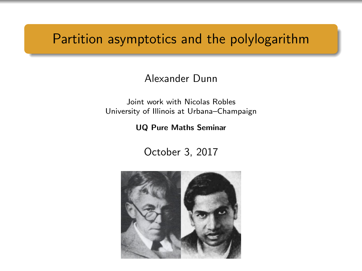# Partition asymptotics and the polylogarithm

#### Alexander Dunn

Joint work with Nicolas Robles University of Illinois at Urbana–Champaign

#### UQ Pure Maths Seminar

October 3, 2017

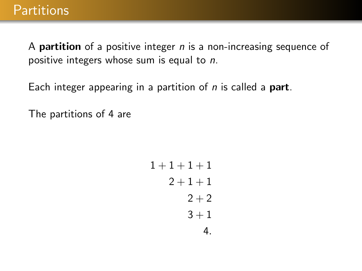A **partition** of a positive integer  $n$  is a non-increasing sequence of positive integers whose sum is equal to n.

Each integer appearing in a partition of  $n$  is called a **part**.

The partitions of 4 are

$$
1+1+1+1\n2+1+1\n2+2\n3+1\n4.
$$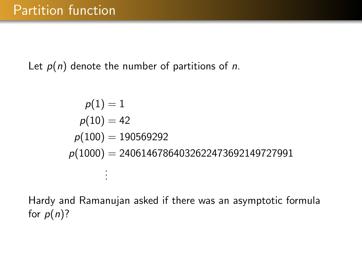Let  $p(n)$  denote the number of partitions of n.

$$
p(1) = 1
$$
  
\n
$$
p(10) = 42
$$
  
\n
$$
p(100) = 190569292
$$
  
\n
$$
p(1000) = 24061467864032622473692149727991
$$
  
\n
$$
\vdots
$$

Hardy and Ramanujan asked if there was an asymptotic formula for  $p(n)$ ?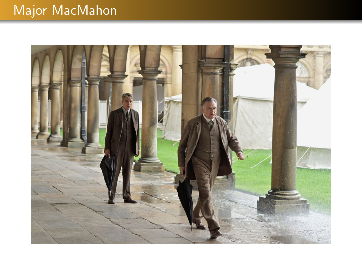# Major MacMahon

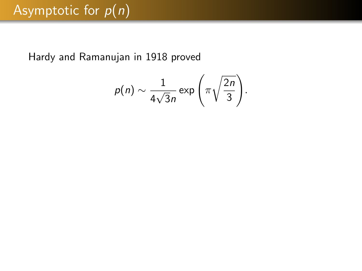Hardy and Ramanujan in 1918 proved

$$
p(n) \sim \frac{1}{4\sqrt{3}n} \exp\left(\pi \sqrt{\frac{2n}{3}}\right).
$$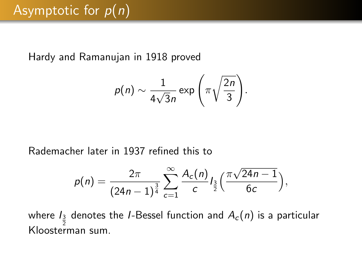Hardy and Ramanujan in 1918 proved

$$
p(n) \sim \frac{1}{4\sqrt{3}n} \exp\left(\pi \sqrt{\frac{2n}{3}}\right).
$$

Rademacher later in 1937 refined this to

$$
p(n) = \frac{2\pi}{(24n-1)^{\frac{3}{4}}} \sum_{c=1}^{\infty} \frac{A_c(n)}{c} I_{\frac{3}{2}}\Big(\frac{\pi\sqrt{24n-1}}{6c}\Big),
$$

where  $I_{\frac{3}{2}}$  denotes the I-Bessel function and  $A_c(n)$  is a particular Kloosterman sum.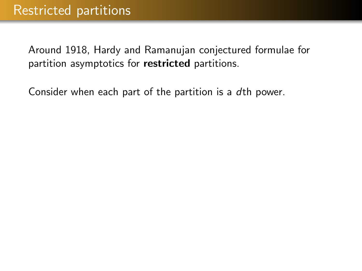Consider when each part of the partition is a dth power.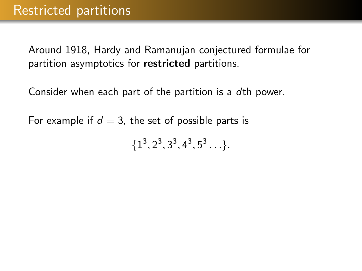Consider when each part of the partition is a dth power.

For example if  $d = 3$ , the set of possible parts is

 $\{1^3, 2^3, 3^3, 4^3, 5^3 \ldots \}.$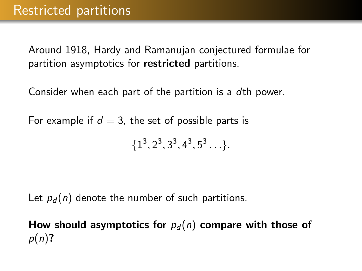Consider when each part of the partition is a dth power.

For example if  $d = 3$ , the set of possible parts is

 $\{1^3, 2^3, 3^3, 4^3, 5^3 \ldots \}.$ 

Let  $p_d(n)$  denote the number of such partitions.

How should asymptotics for  $p_d(n)$  compare with those of  $p(n)$ ?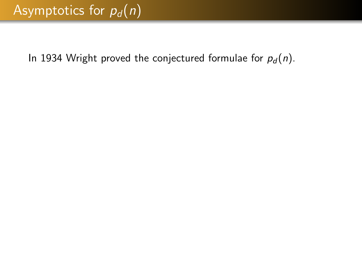In 1934 Wright proved the conjectured formulae for  $p_d(n)$ .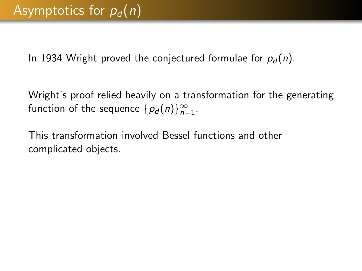In 1934 Wright proved the conjectured formulae for  $p_d(n)$ .

Wright's proof relied heavily on a transformation for the generating function of the sequence  $\{p_d(n)\}_{n=1}^\infty$ .

This transformation involved Bessel functions and other complicated objects.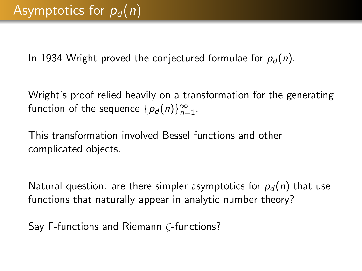In 1934 Wright proved the conjectured formulae for  $p_d(n)$ .

Wright's proof relied heavily on a transformation for the generating function of the sequence  $\{p_d(n)\}_{n=1}^\infty$ .

This transformation involved Bessel functions and other complicated objects.

Natural question: are there simpler asymptotics for  $p_d(n)$  that use functions that naturally appear in analytic number theory?

Say Γ-functions and Riemann ζ-functions?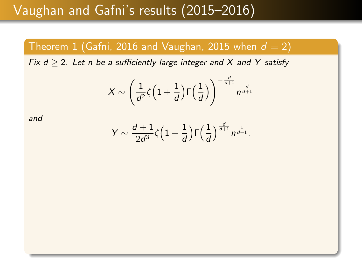# Vaughan and Gafni's results (2015–2016)

#### Theorem 1 (Gafni, 2016 and Vaughan, 2015 when  $d = 2$ )

Fix  $d \ge 2$ . Let n be a sufficiently large integer and X and Y satisfy

$$
X \sim \left(\frac{1}{d^2}\zeta \left(1 + \frac{1}{d}\right) \Gamma\left(\frac{1}{d}\right)\right)^{-\frac{d}{d+1}} n^{\frac{d}{d+1}}
$$

and

$$
Y \sim \frac{d+1}{2d^3}\zeta\Big(1+\frac{1}{d}\Big)\Gamma\Big(\frac{1}{d}\Big)^{\frac{d}{d+1}}n^{\frac{1}{d+1}}.
$$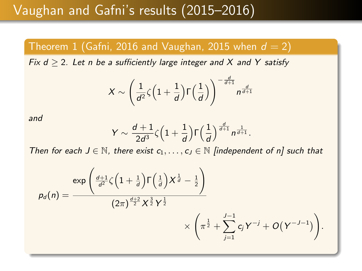### Vaughan and Gafni's results (2015–2016)

#### Theorem 1 (Gafni, 2016 and Vaughan, 2015 when  $d = 2$ )

Fix  $d > 2$ . Let n be a sufficiently large integer and X and Y satisfy

$$
X \sim \left(\frac{1}{d^2}\zeta \left(1 + \frac{1}{d}\right) \Gamma\left(\frac{1}{d}\right)\right)^{-\frac{d}{d+1}} n^{\frac{d}{d+1}}
$$

and

$$
Y \sim \frac{d+1}{2d^3} \zeta \Big(1+\frac{1}{d}\Big) \Gamma\Big(\frac{1}{d}\Big)^{\frac{d}{d+1}} n^{\frac{1}{d+1}}.
$$

Then for each  $J \in \mathbb{N}$ , there exist  $c_1, \ldots, c_J \in \mathbb{N}$  [independent of n] such that

$$
p_d(n) = \frac{\exp\left(\frac{d+1}{d^2}\zeta\left(1+\frac{1}{d}\right)\Gamma\left(\frac{1}{d}\right)X^{\frac{1}{d}} - \frac{1}{2}\right)}{(2\pi)^{\frac{d+2}{2}}X^{\frac{3}{2}}Y^{\frac{1}{2}}}\times \left(\pi^{\frac{1}{2}} + \sum_{j=1}^{J-1}c_jY^{-j} + O(Y^{-J-1})\right).
$$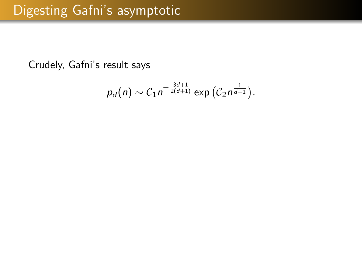Crudely, Gafni's result says

$$
p_d(n) \sim C_1 n^{-\frac{3d+1}{2(d+1)}} \exp\left(C_2 n^{\frac{1}{d+1}}\right).
$$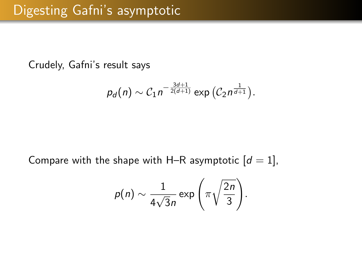Crudely, Gafni's result says

$$
p_d(n) \sim C_1 n^{-\frac{3d+1}{2(d+1)}} \exp\left(C_2 n^{\frac{1}{d+1}}\right).
$$

Compare with the shape with H–R asymptotic  $[d = 1]$ ,

$$
p(n) \sim \frac{1}{4\sqrt{3}n} \exp\left(\pi \sqrt{\frac{2n}{3}}\right).
$$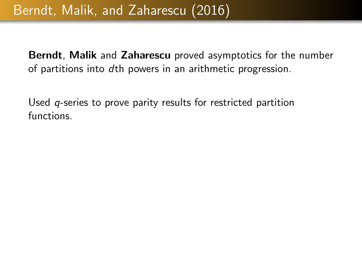Used *q*-series to prove parity results for restricted partition functions.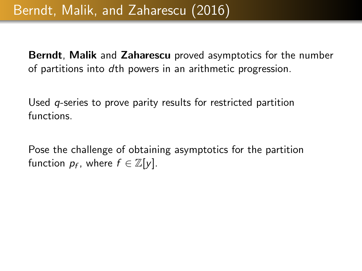Used *q*-series to prove parity results for restricted partition functions.

Pose the challenge of obtaining asymptotics for the partition function  $p_f$ , where  $f \in \mathbb{Z}[y]$ .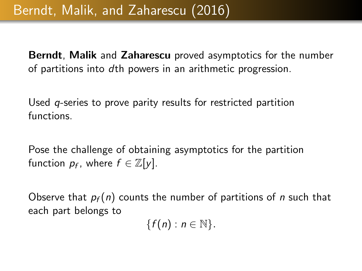Used *q*-series to prove parity results for restricted partition functions.

Pose the challenge of obtaining asymptotics for the partition function  $p_f$ , where  $f \in \mathbb{Z}[y]$ .

Observe that  $p_f(n)$  counts the number of partitions of n such that each part belongs to

 ${f(n): n \in \mathbb{N}}.$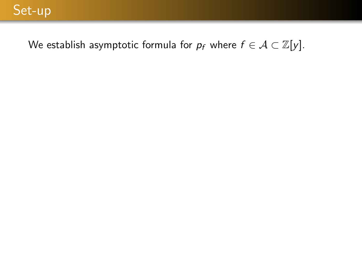We establish asymptotic formula for  $p_f$  where  $f \in \mathcal{A} \subset \mathbb{Z}[y]$ .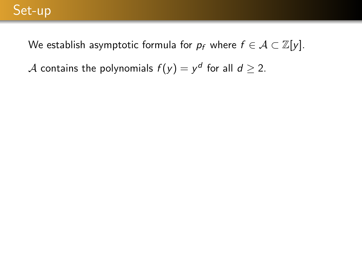We establish asymptotic formula for  $p_f$  where  $f \in \mathcal{A} \subset \mathbb{Z}[y]$ .

 ${\mathcal A}$  contains the polynomials  $f(y)=y^d$  for all  $d\geq 2.$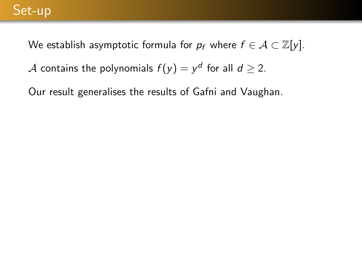We establish asymptotic formula for  $p_f$  where  $f \in \mathcal{A} \subset \mathbb{Z}[y]$ .

 ${\mathcal A}$  contains the polynomials  $f(y)=y^d$  for all  $d\geq 2.$ 

Our result generalises the results of Gafni and Vaughan.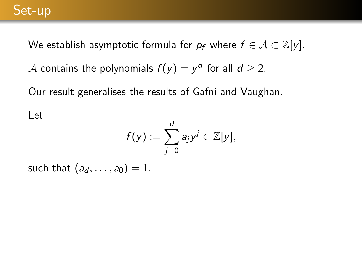We establish asymptotic formula for  $p_f$  where  $f \in \mathcal{A} \subset \mathbb{Z}[y]$ .  ${\mathcal A}$  contains the polynomials  $f(y)=y^d$  for all  $d\geq 2.$ 

Our result generalises the results of Gafni and Vaughan.

#### Let

$$
f(y) := \sum_{j=0}^d a_j y^j \in \mathbb{Z}[y],
$$

such that  $(a_d, \ldots, a_0) = 1$ .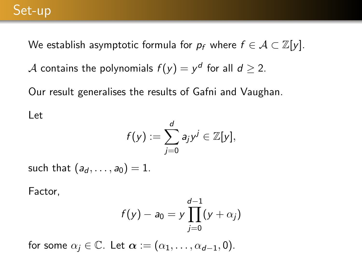We establish asymptotic formula for  $p_f$  where  $f \in \mathcal{A} \subset \mathbb{Z}[y]$ .

 ${\mathcal A}$  contains the polynomials  $f(y)=y^d$  for all  $d\geq 2.$ 

Our result generalises the results of Gafni and Vaughan.

#### Let

$$
f(y) := \sum_{j=0}^d a_j y^j \in \mathbb{Z}[y],
$$

such that  $(a_d, \ldots, a_0) = 1$ .

Factor,

$$
f(y) - a_0 = y \prod_{j=0}^{d-1} (y + \alpha_j)
$$

for some  $\alpha_i \in \mathbb{C}$ . Let  $\alpha := (\alpha_1, \ldots, \alpha_{d-1}, 0)$ .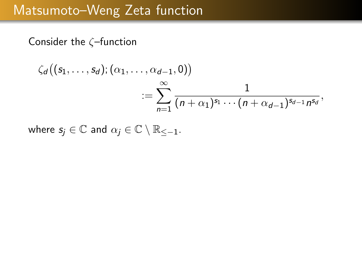### Matsumoto–Weng Zeta function

Consider the  $\zeta$ -function

$$
\zeta_d((s_1,\ldots,s_d);(\alpha_1,\ldots,\alpha_{d-1},0))\n= \sum_{n=1}^{\infty} \frac{1}{(n+\alpha_1)^{s_1}\cdots (n+\alpha_{d-1})^{s_{d-1}}n^{s_d}},
$$

where  $s_i \in \mathbb{C}$  and  $\alpha_i \in \mathbb{C} \setminus \mathbb{R}_{<-1}$ .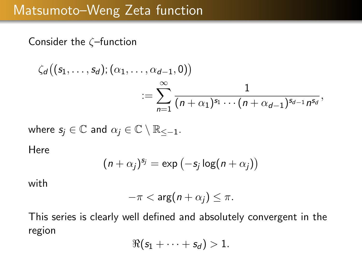### Matsumoto–Weng Zeta function

Consider the ζ–function

$$
\zeta_d((s_1,\ldots,s_d);(\alpha_1,\ldots,\alpha_{d-1},0))\n= \sum_{n=1}^{\infty} \frac{1}{(n+\alpha_1)^{s_1}\cdots(n+\alpha_{d-1})^{s_{d-1}}n^{s_d}},
$$

where  $s_i \in \mathbb{C}$  and  $\alpha_i \in \mathbb{C} \setminus \mathbb{R}_{<-1}$ .

Here

$$
(n+\alpha_j)^{s_j} = \exp(-s_j \log(n+\alpha_j))
$$

with

$$
-\pi < \arg(n+\alpha_j) \leq \pi.
$$

This series is clearly well defined and absolutely convergent in the region

$$
\Re(s_1+\cdots+s_d)>1.
$$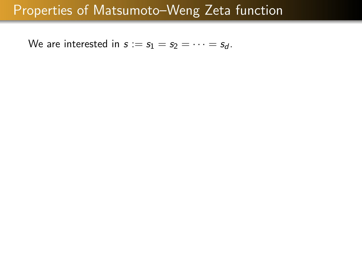We are interested in  $s := s_1 = s_2 = \cdots = s_d$ .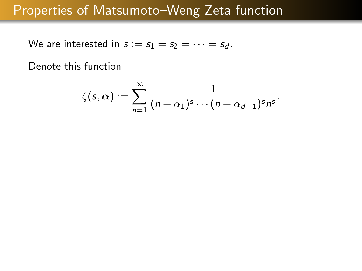We are interested in  $s := s_1 = s_2 = \cdots = s_d$ .

Denote this function

$$
\zeta(s,\alpha):=\sum_{n=1}^{\infty}\frac{1}{(n+\alpha_1)^s\cdots(n+\alpha_{d-1})^s n^s}.
$$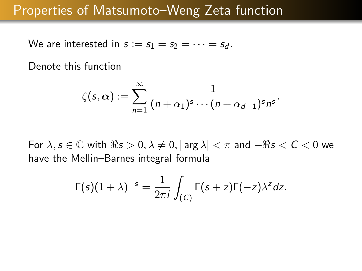We are interested in  $s := s_1 = s_2 = \cdots = s_d$ .

Denote this function

$$
\zeta(s,\alpha):=\sum_{n=1}^{\infty}\frac{1}{(n+\alpha_1)^s\cdots(n+\alpha_{d-1})^s n^s}.
$$

For  $\lambda, s \in \mathbb{C}$  with  $\Re s > 0, \lambda \neq 0, |\arg \lambda| < \pi$  and  $-\Re s < C < 0$  we have the Mellin–Barnes integral formula

$$
\Gamma(s)(1+\lambda)^{-s}=\frac{1}{2\pi i}\int_{(C)}\Gamma(s+z)\Gamma(-z)\lambda^zdz.
$$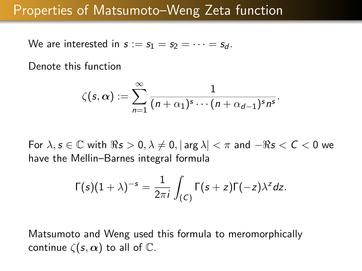We are interested in  $s := s_1 = s_2 = \cdots = s_d$ .

Denote this function

$$
\zeta(s,\alpha):=\sum_{n=1}^{\infty}\frac{1}{(n+\alpha_1)^s\cdots(n+\alpha_{d-1})^s n^s}.
$$

For  $\lambda, s \in \mathbb{C}$  with  $\Re s > 0, \lambda \neq 0, |\arg \lambda| < \pi$  and  $-\Re s < C < 0$  we have the Mellin–Barnes integral formula

$$
\Gamma(s)(1+\lambda)^{-s}=\frac{1}{2\pi i}\int_{(C)}\Gamma(s+z)\Gamma(-z)\lambda^zdz.
$$

Matsumoto and Weng used this formula to meromorphically continue  $\zeta(s,\alpha)$  to all of  $\mathbb{C}$ .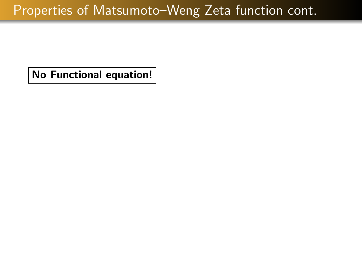No Functional equation!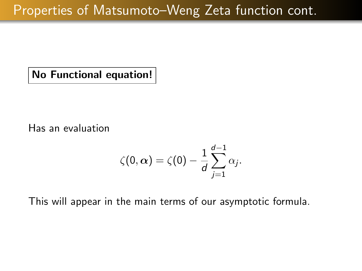No Functional equation!

Has an evaluation

$$
\zeta(0,\boldsymbol{\alpha})=\zeta(0)-\frac{1}{d}\sum_{j=1}^{d-1}\alpha_j.
$$

This will appear in the main terms of our asymptotic formula.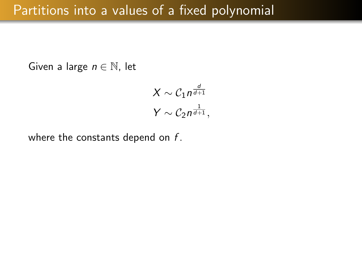Given a large  $n \in \mathbb{N}$ , let

$$
X \sim C_1 n^{\frac{d}{d+1}}
$$

$$
Y \sim C_2 n^{\frac{1}{d+1}},
$$

where the constants depend on  $f$ .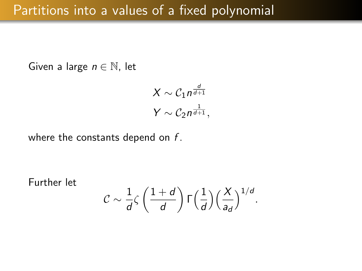Given a large  $n \in \mathbb{N}$ , let

$$
X \sim C_1 n^{\frac{d}{d+1}}
$$

$$
Y \sim C_2 n^{\frac{1}{d+1}},
$$

where the constants depend on  $f$ .

Further let

$$
\mathcal{C} \sim \frac{1}{d} \zeta \left( \frac{1+d}{d} \right) \Gamma \left( \frac{1}{d} \right) \left( \frac{X}{a_d} \right)^{1/d}.
$$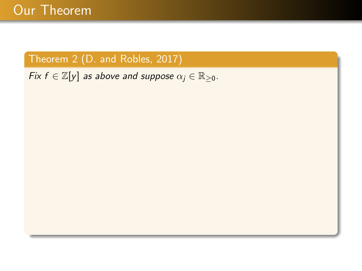#### Theorem 2 (D. and Robles, 2017)

Fix  $f \in \mathbb{Z}[y]$  as above and suppose  $\alpha_j \in \mathbb{R}_{\geq 0}$ .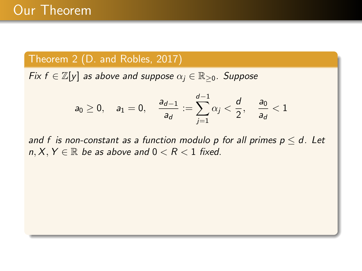#### Theorem 2 (D. and Robles, 2017)

Fix  $f \in \mathbb{Z}[y]$  as above and suppose  $\alpha_j \in \mathbb{R}_{\geq 0}$ . Suppose

$$
a_0\geq 0,\quad a_1=0,\quad \frac{a_{d-1}}{a_d}:=\sum_{j=1}^{d-1}\alpha_j<\frac{d}{2},\quad \frac{a_0}{a_d}<1
$$

and f is non-constant as a function modulo p for all primes  $p \leq d$ . Let  $n, X, Y \in \mathbb{R}$  be as above and  $0 < R < 1$  fixed.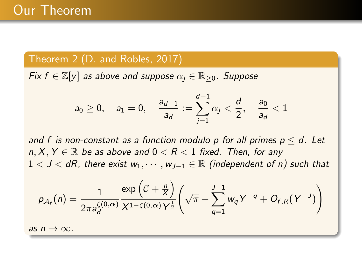#### Theorem 2 (D. and Robles, 2017)

Fix  $f \in \mathbb{Z}[y]$  as above and suppose  $\alpha_i \in \mathbb{R}_{\geq 0}$ . Suppose

$$
a_0\geq 0,\quad a_1=0,\quad \frac{a_{d-1}}{a_d}:=\sum_{j=1}^{d-1}\alpha_j<\frac{d}{2},\quad \frac{a_0}{a_d}<1
$$

and f is non-constant as a function modulo p for all primes  $p \le d$ . Let  $n, X, Y \in \mathbb{R}$  be as above and  $0 < R < 1$  fixed. Then, for any  $1 < J < dR$ , there exist  $w_1, \dots, w_{J-1} \in \mathbb{R}$  (independent of n) such that

$$
p_{\mathcal{A}_f}(n) = \frac{1}{2\pi a_d^{\zeta(0,\alpha)}} \frac{\exp\left(\mathcal{C} + \frac{n}{X}\right)}{X^{1-\zeta(0,\alpha)}Y^{\frac{1}{2}}} \left(\sqrt{\pi} + \sum_{q=1}^{J-1} w_q Y^{-q} + O_{f,R}(Y^{-J})\right)
$$

as  $n \to \infty$ .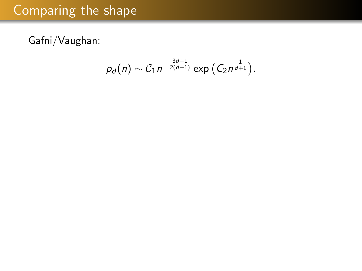# Comparing the shape

Gafni/Vaughan:

$$
p_d(n) \sim C_1 n^{-\frac{3d+1}{2(d+1)}} \exp\left(C_2 n^{\frac{1}{d+1}}\right).
$$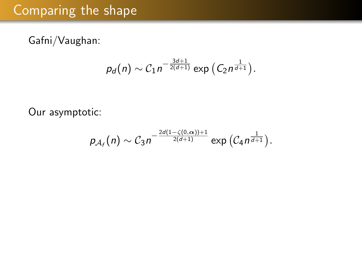# Comparing the shape

Gafni/Vaughan:

$$
p_d(n) \sim C_1 n^{-\frac{3d+1}{2(d+1)}} \exp\left(C_2 n^{\frac{1}{d+1}}\right).
$$

Our asymptotic:

$$
p_{\mathcal{A}_f}(n) \sim C_3 n^{-\frac{2d(1-\zeta(0,\alpha))+1}{2(d+1)}} \exp\left(\mathcal{C}_4 n^{\frac{1}{d+1}}\right).
$$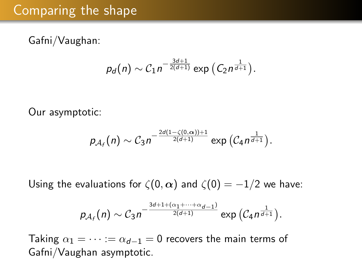## Comparing the shape

Gafni/Vaughan:

$$
p_d(n) \sim C_1 n^{-\frac{3d+1}{2(d+1)}} \exp\left(C_2 n^{\frac{1}{d+1}}\right).
$$

Our asymptotic:

$$
p_{\mathcal{A}_f}(n) \sim C_3 n^{-\frac{2d(1-\zeta(0,\alpha))+1}{2(d+1)}} \exp\left(\mathcal{C}_4 n^{\frac{1}{d+1}}\right).
$$

Using the evaluations for  $\zeta(0, \alpha)$  and  $\zeta(0) = -1/2$  we have:

$$
p_{\mathcal{A}_f}(n) \sim \mathcal{C}_3 n^{-\frac{3d+1+(\alpha_1+\cdots+\alpha_{d-1})}{2(d+1)}} \exp\left(\mathcal{C}_4 n^{\frac{1}{d+1}}\right).
$$

Taking  $\alpha_1 = \cdots = \alpha_{d-1} = 0$  recovers the main terms of Gafni/Vaughan asymptotic.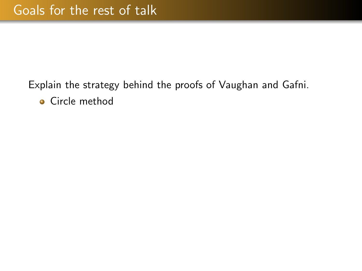#### Explain the strategy behind the proofs of Vaughan and Gafni. **•** Circle method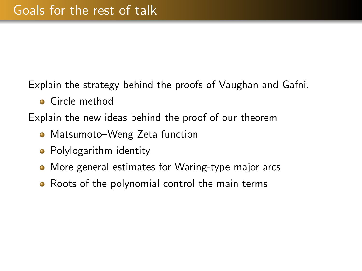Explain the strategy behind the proofs of Vaughan and Gafni.

**•** Circle method

Explain the new ideas behind the proof of our theorem

- Matsumoto–Weng Zeta function
- Polylogarithm identity
- More general estimates for Waring-type major arcs
- Roots of the polynomial control the main terms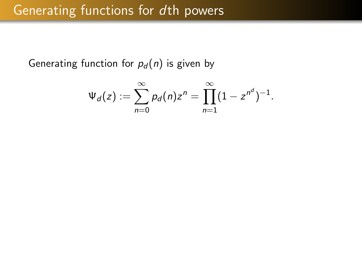### Generating functions for dth powers

Generating function for  $p_d(n)$  is given by

$$
\Psi_d(z) := \sum_{n=0}^{\infty} p_d(n) z^n = \prod_{n=1}^{\infty} (1 - z^{n^d})^{-1}.
$$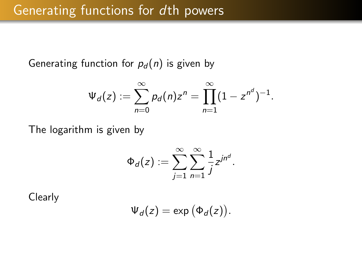Generating function for  $p_d(n)$  is given by

$$
\Psi_d(z) := \sum_{n=0}^{\infty} p_d(n) z^n = \prod_{n=1}^{\infty} (1 - z^{n^d})^{-1}.
$$

The logarithm is given by

$$
\Phi_d(z) := \sum_{j=1}^{\infty} \sum_{n=1}^{\infty} \frac{1}{j} z^{jn^d}.
$$

**Clearly** 

$$
\Psi_d(z) = \exp(\Phi_d(z)).
$$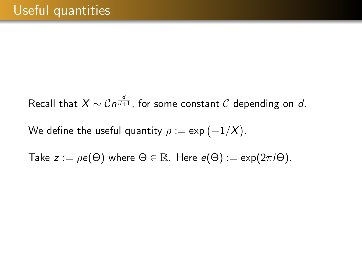Recall that  $X \sim \mathcal{C} n^{\frac{d}{d+1}}$ , for some constant  $\mathcal C$  depending on  $d$ .

We define the useful quantity  $\rho:=\exp\left(-1/X\right)$ .

Take  $z := \rho e(\Theta)$  where  $\Theta \in \mathbb{R}$ . Here  $e(\Theta) := \exp(2\pi i \Theta)$ .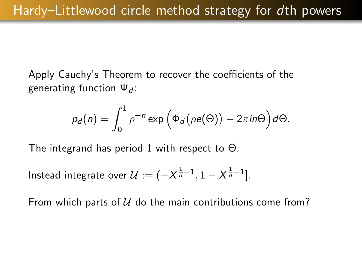Apply Cauchy's Theorem to recover the coefficients of the generating function  $\Psi_d$ :

$$
p_d(n) = \int_0^1 \rho^{-n} \exp\left(\Phi_d(\rho e(\Theta)) - 2\pi i n\Theta\right) d\Theta.
$$

The integrand has period 1 with respect to Θ.

Instead integrate over  $\mathcal{U} := (-X^{\frac{1}{d}-1}, 1-X^{\frac{1}{d}-1}].$ 

From which parts of  $U$  do the main contributions come from?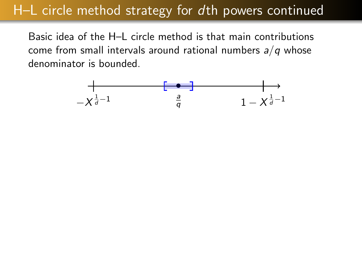# H–L circle method strategy for dth powers continued

Basic idea of the H–L circle method is that main contributions come from small intervals around rational numbers  $a/q$  whose denominator is bounded.

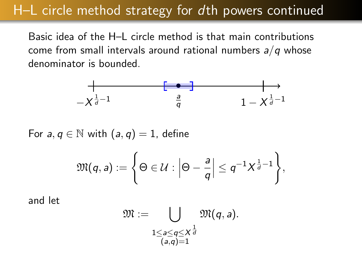## H–L circle method strategy for dth powers continued

Basic idea of the H–L circle method is that main contributions come from small intervals around rational numbers  $a/q$  whose denominator is bounded.

$$
-\chi^{\frac{1}{d}-1} \qquad \qquad \frac{a}{q} \qquad \qquad 1-\chi^{\frac{1}{d}-1}
$$

For  $a, q \in \mathbb{N}$  with  $(a, q) = 1$ , define

$$
\mathfrak{M}(q,a):=\Bigg\{\Theta\in\mathcal{U}: \Big|\Theta-\frac{a}{q}\Big|\leq q^{-1}X^{\frac{1}{d}-1}\Bigg\},\,
$$

and let

$$
\mathfrak{M}:=\bigcup_{\substack{1\leq a\leq q\leq X^{\frac{1}{d}}\\ (a,q)=1}}\mathfrak{M}(q,a).
$$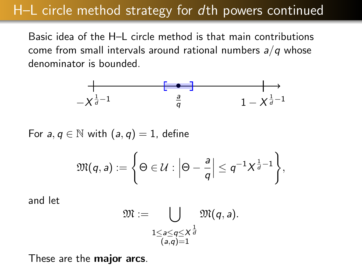## H–L circle method strategy for dth powers continued

Basic idea of the H–L circle method is that main contributions come from small intervals around rational numbers  $a/q$  whose denominator is bounded.

$$
-\chi^{\frac{1}{d}-1} \qquad \qquad \frac{a}{q} \qquad \qquad 1-\chi^{\frac{1}{d}-1}
$$

For  $a, q \in \mathbb{N}$  with  $(a, q) = 1$ , define

$$
\mathfrak{M}(q,a):=\Bigg\{\Theta\in\mathcal{U}: \Big|\Theta-\frac{a}{q}\Big|\leq q^{-1}X^{\frac{1}{d}-1}\Bigg\},\
$$

and let

$$
\mathfrak{M}:=\bigcup_{\substack{1\leq a\leq q\leq X^{\frac{1}{d}}\\ (a,q)=1}}\mathfrak{M}(q,a).
$$

These are the **major arcs**.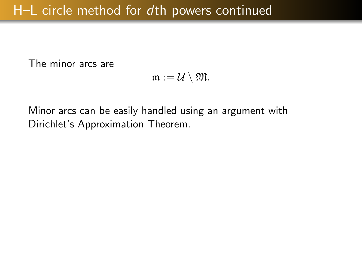The minor arcs are

$$
\mathfrak{m}:=\mathcal{U}\setminus \mathfrak{M}.
$$

Minor arcs can be easily handled using an argument with Dirichlet's Approximation Theorem.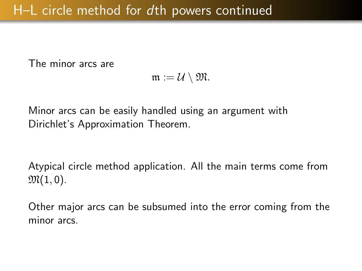The minor arcs are

$$
\mathfrak{m}:=\mathcal{U}\setminus \mathfrak{M}.
$$

Minor arcs can be easily handled using an argument with Dirichlet's Approximation Theorem.

Atypical circle method application. All the main terms come from  $\mathfrak{M}(1,0)$ .

Other major arcs can be subsumed into the error coming from the minor arcs.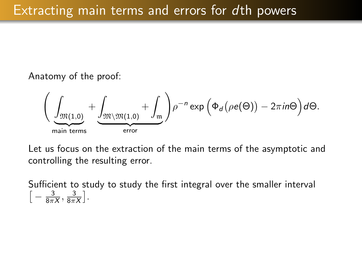#### Anatomy of the proof:

$$
\left(\underbrace{\int_{\mathfrak{M}(1,0)}}_{\text{main terms}} + \underbrace{\int_{\mathfrak{M}\setminus \mathfrak{M}(1,0)}}_{\text{error}} + \int_{\mathfrak{m}}\right)\rho^{-n}\exp\left(\Phi_d\big(\rho e(\Theta)\big) - 2\pi i n\Theta\right)d\Theta.
$$

Let us focus on the extraction of the main terms of the asymptotic and controlling the resulting error.

Sufficient to study to study the first integral over the smaller interval  $\left[-\frac{3}{8\pi X},\frac{3}{8\pi X}\right]$ .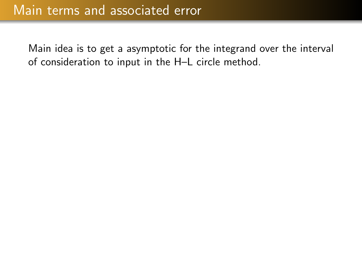Main idea is to get a asymptotic for the integrand over the interval of consideration to input in the H–L circle method.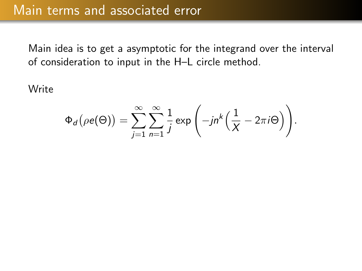Main idea is to get a asymptotic for the integrand over the interval of consideration to input in the H–L circle method.

**Write** 

$$
\Phi_d\big(\rho e(\Theta)\big)=\sum_{j=1}^{\infty}\sum_{n=1}^{\infty}\frac{1}{j}\exp\left(-jn^k\Big(\frac{1}{X}-2\pi i\Theta\Big)\right).
$$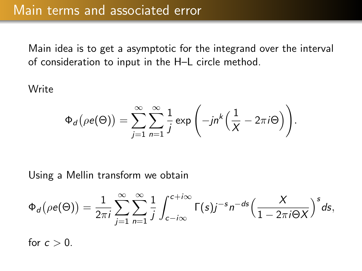Main idea is to get a asymptotic for the integrand over the interval of consideration to input in the H–L circle method.

**Write** 

$$
\Phi_d\big(\rho e(\Theta)\big)=\sum_{j=1}^{\infty}\sum_{n=1}^{\infty}\frac{1}{j}\exp\left(-jn^k\Big(\frac{1}{X}-2\pi i\Theta\Big)\right).
$$

Using a Mellin transform we obtain

$$
\Phi_d(\rho e(\Theta)) = \frac{1}{2\pi i} \sum_{j=1}^{\infty} \sum_{n=1}^{\infty} \frac{1}{j} \int_{c-i\infty}^{c+i\infty} \Gamma(s) j^{-s} n^{-ds} \Big( \frac{X}{1 - 2\pi i \Theta X} \Big)^s ds,
$$

for  $c > 0$ .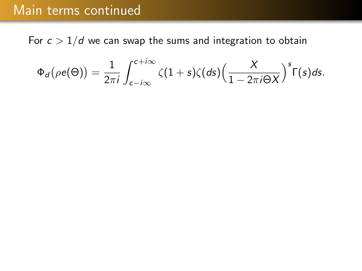#### Main terms continued

For  $c > 1/d$  we can swap the sums and integration to obtain

$$
\Phi_d(\rho e(\Theta)) = \frac{1}{2\pi i} \int_{c-i\infty}^{c+i\infty} \zeta(1+s)\zeta(ds) \Big(\frac{X}{1-2\pi i\Theta X}\Big)^s \Gamma(s) ds.
$$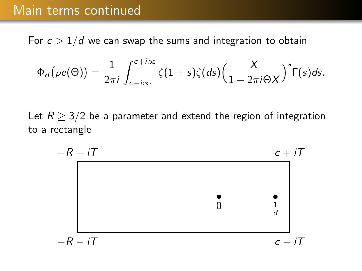### Main terms continued

For  $c > 1/d$  we can swap the sums and integration to obtain

$$
\Phi_d(\rho e(\Theta)) = \frac{1}{2\pi i} \int_{c-i\infty}^{c+i\infty} \zeta(1+s)\zeta(ds) \Big(\frac{X}{1-2\pi i\Theta X}\Big)^s \Gamma(s) ds.
$$

Let  $R \geq 3/2$  be a parameter and extend the region of integration to a rectangle

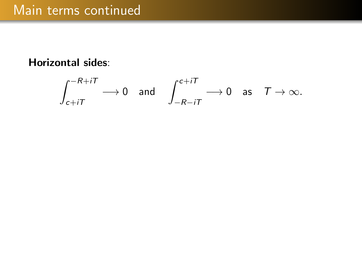#### Horizontal sides:

$$
\int_{c+iT}^{-R+iT} \longrightarrow 0 \quad \text{and} \quad \int_{-R-iT}^{c+iT} \longrightarrow 0 \quad \text{as} \quad T \rightarrow \infty.
$$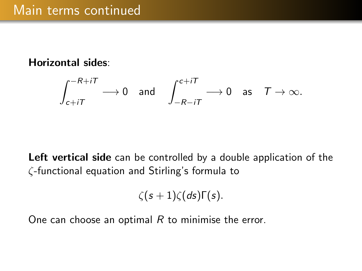#### Horizontal sides:

$$
\int_{c+iT}^{-R+iT} \longrightarrow 0 \quad \text{and} \quad \int_{-R-iT}^{c+iT} \longrightarrow 0 \quad \text{as} \quad T \rightarrow \infty.
$$

Left vertical side can be controlled by a double application of the ζ-functional equation and Stirling's formula to

$$
\zeta(s+1)\zeta(ds)\Gamma(s).
$$

One can choose an optimal  $R$  to minimise the error.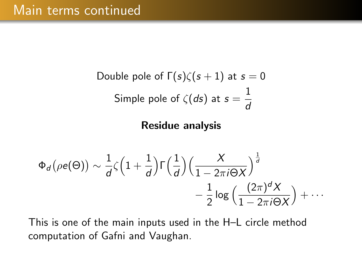Double pole of 
$$
\Gamma(s)\zeta(s+1)
$$
 at  $s=0$ 

\nSimple pole of  $\zeta(ds)$  at  $s=\frac{1}{d}$ 

Residue analysis

$$
\Phi_d(\rho e(\Theta)) \sim \frac{1}{d} \zeta \Big( 1 + \frac{1}{d} \Big) \Gamma \Big( \frac{1}{d} \Big) \Big( \frac{X}{1 - 2\pi i \Theta X} \Big)^{\frac{1}{d}} - \frac{1}{2} \log \Big( \frac{(2\pi)^d X}{1 - 2\pi i \Theta X} \Big) + \cdots
$$

This is one of the main inputs used in the H–L circle method computation of Gafni and Vaughan.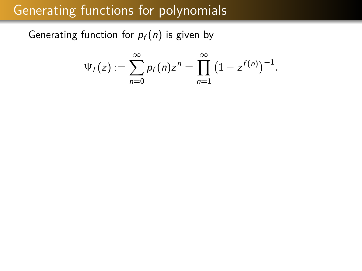### Generating functions for polynomials

Generating function for  $p_f(n)$  is given by

$$
\Psi_f(z) := \sum_{n=0}^{\infty} p_f(n) z^n = \prod_{n=1}^{\infty} (1 - z^{f(n)})^{-1}.
$$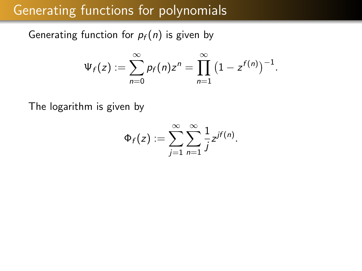### Generating functions for polynomials

Generating function for  $p_f(n)$  is given by

$$
\Psi_f(z) := \sum_{n=0}^{\infty} p_f(n) z^n = \prod_{n=1}^{\infty} (1 - z^{f(n)})^{-1}.
$$

The logarithm is given by

$$
\Phi_f(z) := \sum_{j=1}^{\infty} \sum_{n=1}^{\infty} \frac{1}{j} z^{j f(n)}.
$$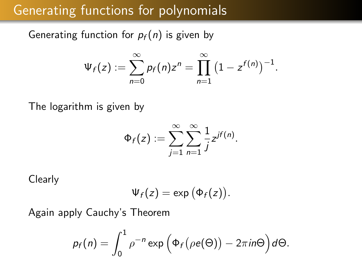### Generating functions for polynomials

Generating function for  $p_f(n)$  is given by

$$
\Psi_f(z) := \sum_{n=0}^{\infty} p_f(n) z^n = \prod_{n=1}^{\infty} (1 - z^{f(n)})^{-1}.
$$

The logarithm is given by

$$
\Phi_f(z) := \sum_{j=1}^{\infty} \sum_{n=1}^{\infty} \frac{1}{j} z^{j f(n)}.
$$

Clearly

$$
\Psi_f(z)=\exp\big(\Phi_f(z)\big).
$$

Again apply Cauchy's Theorem

$$
p_f(n) = \int_0^1 \rho^{-n} \exp\left(\Phi_f(\rho e(\Theta)) - 2\pi i n\Theta\right) d\Theta.
$$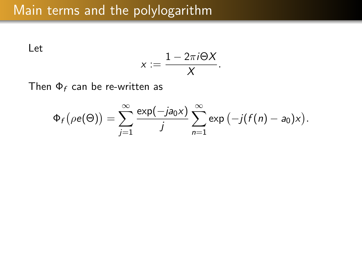Let

$$
x:=\frac{1-2\pi i\Theta X}{X}.
$$

Then  $\Phi_f$  can be re-written as

$$
\Phi_f\big(\rho e(\Theta)\big)=\sum_{j=1}^\infty\frac{\exp(-ja_0x)}{j}\sum_{n=1}^\infty\exp(-j(f(n)-a_0)x).
$$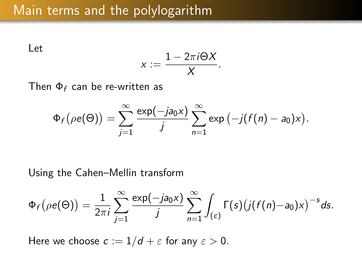Let

$$
x:=\frac{1-2\pi i\Theta X}{X}.
$$

Then  $\Phi_f$  can be re-written as

$$
\Phi_f\big(\rho e(\Theta)\big)=\sum_{j=1}^\infty\frac{\exp(-ja_0x)}{j}\sum_{n=1}^\infty\exp(-j(f(n)-a_0)x).
$$

Using the Cahen–Mellin transform

$$
\Phi_f(\rho e(\Theta)) = \frac{1}{2\pi i} \sum_{j=1}^{\infty} \frac{\exp(-ja_0x)}{j} \sum_{n=1}^{\infty} \int_{(c)} \Gamma(s) (j(f(n)-a_0)x)^{-s} ds.
$$

Here we choose  $c := 1/d + \varepsilon$  for any  $\varepsilon > 0$ .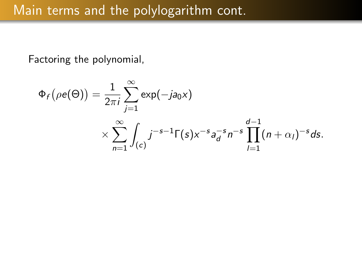Factoring the polynomial,

$$
\Phi_f(\rho e(\Theta)) = \frac{1}{2\pi i} \sum_{j=1}^{\infty} \exp(-ja_0x)
$$
  
 
$$
\times \sum_{n=1}^{\infty} \int_{(c)} j^{-s-1} \Gamma(s) x^{-s} a_d^{-s} n^{-s} \prod_{j=1}^{d-1} (n+\alpha_j)^{-s} ds.
$$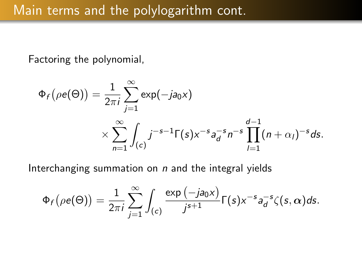Factoring the polynomial,

$$
\Phi_f(\rho e(\Theta)) = \frac{1}{2\pi i} \sum_{j=1}^{\infty} \exp(-ja_0x)
$$
  
 
$$
\times \sum_{n=1}^{\infty} \int_{(c)} j^{-s-1} \Gamma(s) x^{-s} a_d^{-s} n^{-s} \prod_{l=1}^{d-1} (n+\alpha_l)^{-s} ds.
$$

Interchanging summation on  $n$  and the integral yields

$$
\Phi_f(\rho e(\Theta)) = \frac{1}{2\pi i} \sum_{j=1}^{\infty} \int_{(c)} \frac{\exp(-ja_0x)}{j^{s+1}} \Gamma(s) x^{-s} a_d^{-s} \zeta(s,\alpha) ds.
$$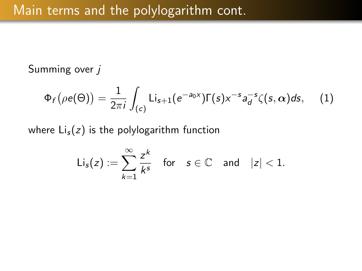#### Summing over j

$$
\Phi_f(\rho e(\Theta)) = \frac{1}{2\pi i} \int_{(c)} \text{Li}_{s+1}(e^{-a_0 x}) \Gamma(s) x^{-s} a_d^{-s} \zeta(s, \alpha) ds, \quad (1)
$$

where  $Li_s(z)$  is the polylogarithm function

$$
\mathsf{Li}_s(z):=\sum_{k=1}^\infty \frac{z^k}{k^s}\quad\text{for}\quad s\in\mathbb{C}\quad\text{and}\quad |z|<1.
$$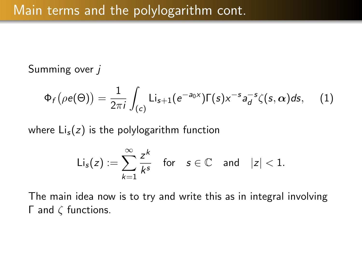#### Summing over *i*

$$
\Phi_f(\rho e(\Theta)) = \frac{1}{2\pi i} \int_{(c)} \text{Li}_{s+1}(e^{-a_0 x}) \Gamma(s) x^{-s} a_d^{-s} \zeta(s, \alpha) ds, \quad (1)
$$

where  $Li_s(z)$  is the polylogarithm function

$$
\mathsf{Li}_s(z):=\sum_{k=1}^\infty \frac{z^k}{k^s}\quad\text{for}\quad s\in\mathbb{C}\quad\text{and}\quad |z|<1.
$$

The main idea now is to try and write this as in integral involving Γ and ζ functions.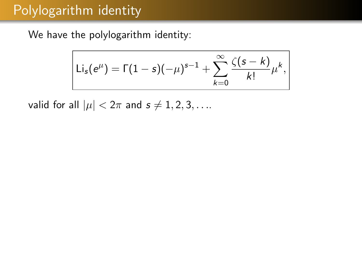## Polylogarithm identity

We have the polylogarithm identity:

$$
Li_{s}(e^{\mu}) = \Gamma(1-s)(-\mu)^{s-1} + \sum_{k=0}^{\infty} \frac{\zeta(s-k)}{k!} \mu^{k},
$$

valid for all  $|\mu| < 2\pi$  and  $s \neq 1, 2, 3, \ldots$ .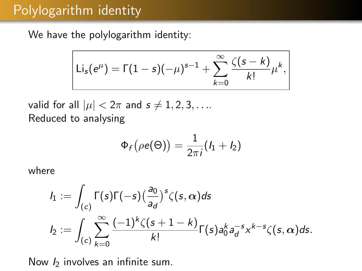# Polylogarithm identity

We have the polylogarithm identity:

$$
Li_{s}(e^{\mu}) = \Gamma(1-s)(-\mu)^{s-1} + \sum_{k=0}^{\infty} \frac{\zeta(s-k)}{k!} \mu^{k},
$$

valid for all  $|\mu| < 2\pi$  and  $s \neq 1, 2, 3, \ldots$ . Reduced to analysing

$$
\Phi_f\big(\rho e(\Theta)\big) = \frac{1}{2\pi i} (I_1 + I_2)
$$

where

$$
I_1 := \int_{(c)} \Gamma(s) \Gamma(-s) \left(\frac{a_0}{a_d}\right)^s \zeta(s, \alpha) ds
$$
  

$$
I_2 := \int_{(c)} \sum_{k=0}^{\infty} \frac{(-1)^k \zeta(s+1-k)}{k!} \Gamma(s) a_0^k a_d^{-s} x^{k-s} \zeta(s, \alpha) ds.
$$

Now  *involves an infinite sum.*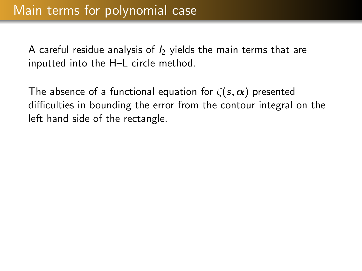The absence of a functional equation for  $\zeta(s,\alpha)$  presented difficulties in bounding the error from the contour integral on the left hand side of the rectangle.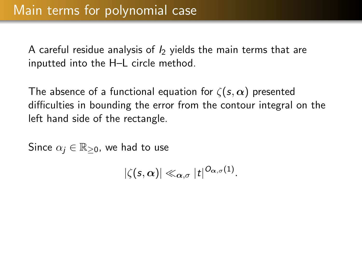The absence of a functional equation for  $\zeta(s,\alpha)$  presented difficulties in bounding the error from the contour integral on the left hand side of the rectangle.

Since  $\alpha_i \in \mathbb{R}_{\geq 0}$ , we had to use

$$
|\zeta(s,\alpha)| \ll_{\alpha,\sigma} |t|^{O_{\alpha,\sigma}(1)}.
$$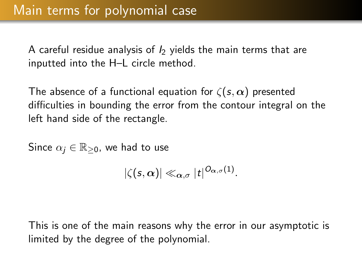The absence of a functional equation for  $\zeta(s,\alpha)$  presented difficulties in bounding the error from the contour integral on the left hand side of the rectangle.

Since  $\alpha_i \in \mathbb{R}_{\geq 0}$ , we had to use

$$
|\zeta(\mathsf{s},\alpha)| \ll_{\alpha,\sigma} |t|^{O_{\alpha,\sigma}(1)}.
$$

This is one of the main reasons why the error in our asymptotic is limited by the degree of the polynomial.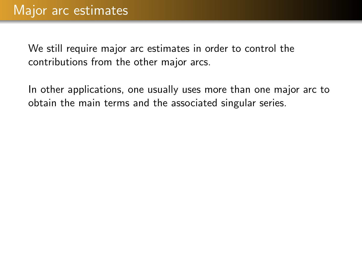In other applications, one usually uses more than one major arc to obtain the main terms and the associated singular series.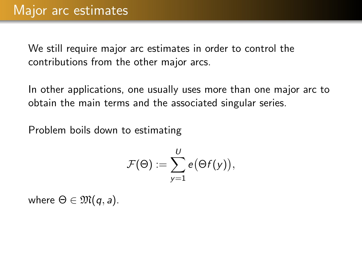In other applications, one usually uses more than one major arc to obtain the main terms and the associated singular series.

Problem boils down to estimating

$$
\mathcal{F}(\Theta):=\sum_{y=1}^U e\big(\Theta f(y)\big),
$$

where  $\Theta \in \mathfrak{M}(q, a)$ .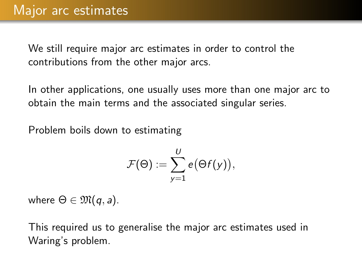In other applications, one usually uses more than one major arc to obtain the main terms and the associated singular series.

Problem boils down to estimating

$$
\mathcal{F}(\Theta) := \sum_{y=1}^U e(\Theta f(y)),
$$

where  $\Theta \in \mathfrak{M}(q, a)$ .

This required us to generalise the major arc estimates used in Waring's problem.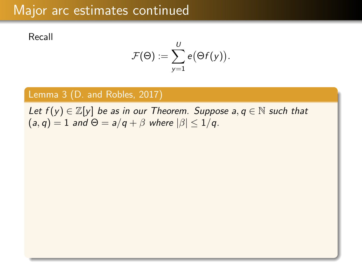# Major arc estimates continued

Recall

$$
\mathcal{F}(\Theta) := \sum_{y=1}^U e(\Theta f(y)).
$$

### Lemma 3 (D. and Robles, 2017)

Let  $f(y) \in \mathbb{Z}[y]$  be as in our Theorem. Suppose  $a, q \in \mathbb{N}$  such that  $(a, q) = 1$  and  $\Theta = a/q + \beta$  where  $|\beta| \leq 1/q$ .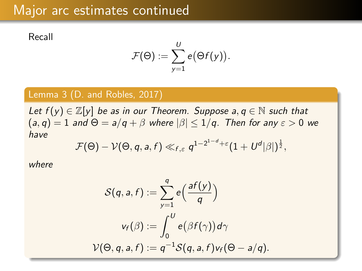# Major arc estimates continued

Recall

$$
\mathcal{F}(\Theta) := \sum_{y=1}^U e(\Theta f(y)).
$$

#### Lemma 3 (D. and Robles, 2017)

Let  $f(y) \in \mathbb{Z}[y]$  be as in our Theorem. Suppose  $a, q \in \mathbb{N}$  such that  $(a, q) = 1$  and  $\Theta = a/q + \beta$  where  $|\beta| \leq 1/q$ . Then for any  $\varepsilon > 0$  we have

$$
\mathcal{F}(\Theta)-\mathcal{V}(\Theta,q,a,f)\ll_{f,\varepsilon} q^{1-2^{1-d}+\varepsilon}(1+U^d|\beta|)^{\frac{1}{2}},
$$

where

$$
S(q, a, f) := \sum_{y=1}^{q} e\left(\frac{af(y)}{q}\right)
$$

$$
v_f(\beta) := \int_0^U e\left(\beta f(\gamma)\right) d\gamma
$$

$$
V(\Theta, q, a, f) := q^{-1} S(q, a, f) v_f(\Theta - a/q).
$$